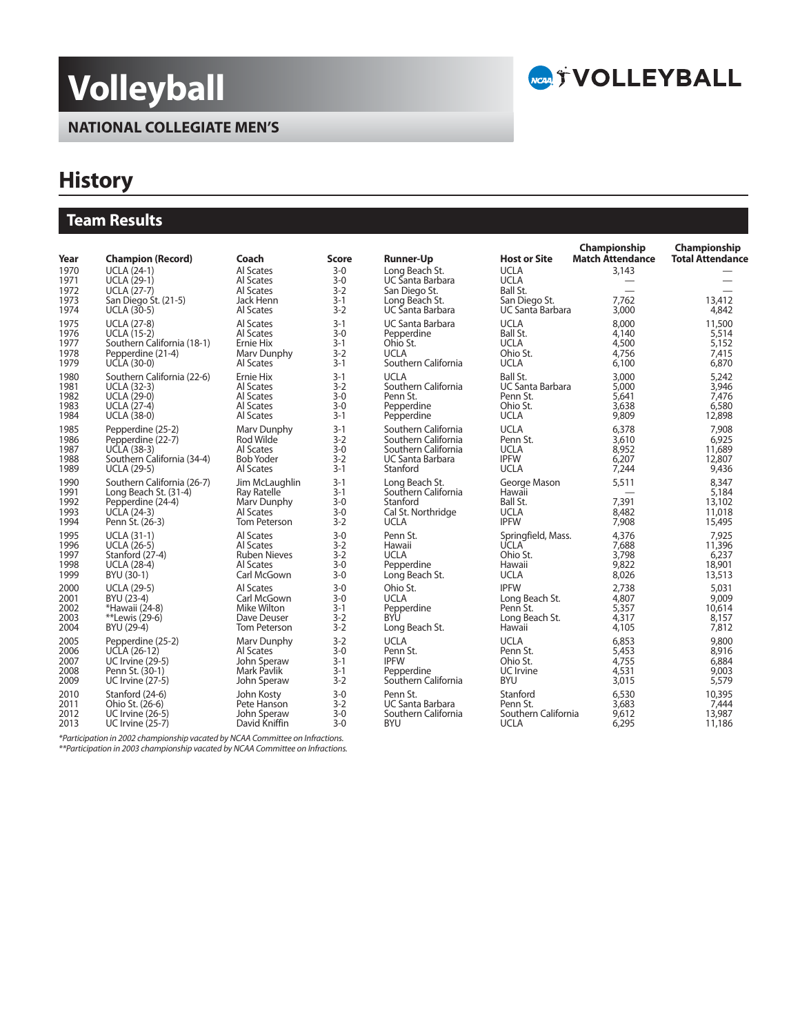# **Volleyball**





## **History**

## **Team Results**

|                                              |                                                                                                                                          |                                                                           |                                                                 |                                                                                                               |                                                                                                    | Championship<br><b>Match Attendance</b> | Championship<br><b>Total Attendance</b>      |
|----------------------------------------------|------------------------------------------------------------------------------------------------------------------------------------------|---------------------------------------------------------------------------|-----------------------------------------------------------------|---------------------------------------------------------------------------------------------------------------|----------------------------------------------------------------------------------------------------|-----------------------------------------|----------------------------------------------|
| Year<br>1970<br>1971<br>1972<br>1973<br>1974 | <b>Champion (Record)</b><br><b>UCLA (24-1)</b><br><b>UCLA (29-1)</b><br><b>UCLA (27-7)</b><br>San Diego St. (21-5)<br><b>UCLA (30-5)</b> | Coach<br>Al Scates<br>Al Scates<br>Al Scates<br>Jack Henn<br>Al Scates    | <b>Score</b><br>$3-0$<br>$3 - 0$<br>$3 - 2$<br>$3 - 1$<br>$3-2$ | <b>Runner-Up</b><br>Long Beach St.<br>UC Santa Barbara<br>San Diego St.<br>Long Beach St.<br>UC Santa Barbara | <b>Host or Site</b><br><b>UCLA</b><br><b>UCLA</b><br>Ball St.<br>San Diego St.<br>UC Santa Barbara | 3,143<br>7.762<br>3,000                 | 13,412<br>4,842                              |
| 1975                                         | <b>UCLA (27-8)</b>                                                                                                                       | Al Scates                                                                 | $3 - 1$                                                         | UC Santa Barbara                                                                                              | <b>UCLA</b>                                                                                        | 8,000                                   | 11,500                                       |
| 1976                                         | <b>UCLA (15-2)</b>                                                                                                                       | Al Scates                                                                 | $3-0$                                                           | Pepperdine                                                                                                    | Ball St.                                                                                           | 4,140                                   | 5,514                                        |
| 1977                                         | Southern California (18-1)                                                                                                               | Ernie Hix                                                                 | $3-1$                                                           | Ohio St.                                                                                                      | <b>UCLA</b>                                                                                        | 4,500                                   | 5,152                                        |
| 1978                                         | Pepperdine (21-4)                                                                                                                        | Mary Dunphy                                                               | $3-2$                                                           | <b>UCLA</b>                                                                                                   | Ohio St.                                                                                           | 4,756                                   | 7,415                                        |
| 1979                                         | UCLA (30-0)                                                                                                                              | Al Scates                                                                 | $3 - 1$                                                         | Southern California                                                                                           | <b>UCLA</b>                                                                                        | 6,100                                   | 6,870                                        |
| 1980                                         | Southern California (22-6)                                                                                                               | Ernie Hix                                                                 | $3 - 1$                                                         | <b>UCLA</b>                                                                                                   | Ball St.                                                                                           | 3,000                                   | 5,242                                        |
| 1981                                         | <b>UCLA (32-3)</b>                                                                                                                       | Al Scates                                                                 | $3-2$                                                           | Southern California                                                                                           | <b>UC Santa Barbara</b>                                                                            | 5,000                                   | 3,946                                        |
| 1982                                         | <b>UCLA (29-0)</b>                                                                                                                       | Al Scates                                                                 | $3-0$                                                           | Penn St.                                                                                                      | Penn St.                                                                                           | 5,641                                   | 7,476                                        |
| 1983                                         | <b>UCLA (27-4)</b>                                                                                                                       | Al Scates                                                                 | $3-0$                                                           | Pepperdine                                                                                                    | Ohio St.                                                                                           | 3,638                                   | 6,580                                        |
| 1984                                         | <b>UCLA (38-0)</b>                                                                                                                       | Al Scates                                                                 | $3 - 1$                                                         | Pepperdine                                                                                                    | <b>UCLA</b>                                                                                        | 9,809                                   | 12,898                                       |
| 1985                                         | Pepperdine (25-2)                                                                                                                        | Marv Dunphy                                                               | $3 - 1$                                                         | Southern California                                                                                           | <b>UCLA</b>                                                                                        | 6,378                                   | 7,908                                        |
| 1986                                         | Pepperdine (22-7)                                                                                                                        | Rod Wilde                                                                 | $3-2$                                                           | Southern California                                                                                           | Penn St.                                                                                           | 3,610                                   | 6,925                                        |
| 1987                                         | <b>UCLA (38-3)</b>                                                                                                                       | Al Scates                                                                 | $3-0$                                                           | Southern California                                                                                           | <b>UCLA</b>                                                                                        | 8,952                                   | 11,689                                       |
| 1988                                         | Southern California (34-4)                                                                                                               | <b>Bob Yoder</b>                                                          | $3 - 2$                                                         | UC Santa Barbara                                                                                              | <b>IPFW</b>                                                                                        | 6.207                                   | 12,807                                       |
| 1989                                         | <b>UCLA (29-5)</b>                                                                                                                       | Al Scates                                                                 | $3 - 1$                                                         | Stanford                                                                                                      | <b>UCLA</b>                                                                                        | 7,244                                   | 9,436                                        |
| 1990<br>1991<br>1992<br>1993<br>1994         | Southern California (26-7)<br>Long Beach St. (31-4)<br>Pepperdine (24-4)<br><b>UCLA (24-3)</b><br>Penn St. (26-3)                        | Jim McLaughlin<br>Ray Ratelle<br>Mary Dunphy<br>Al Scates<br>Tom Peterson | $3-1$<br>$3-1$<br>$3 - 0$<br>$3 - 0$<br>$3 - 2$                 | Long Beach St.<br>Southern California<br>Stanford<br>Cal St. Northridge<br><b>UCLA</b>                        | George Mason<br>Hawaii<br>Ball St.<br><b>UCLA</b><br><b>IPFW</b>                                   | 5,511<br>7,391<br>8,482<br>7,908        | 8.347<br>5,184<br>13,102<br>11,018<br>15,495 |
| 1995                                         | <b>UCLA (31-1)</b>                                                                                                                       | Al Scates                                                                 | $3 - 0$                                                         | Penn St.                                                                                                      | Springfield, Mass.                                                                                 | 4,376                                   | 7,925                                        |
| 1996                                         | <b>UCLA (26-5)</b>                                                                                                                       | Al Scates                                                                 | $3 - 2$                                                         | Hawaii                                                                                                        | <b>UCLA</b>                                                                                        | 7,688                                   | 11,396                                       |
| 1997                                         | Stanford (27-4)                                                                                                                          | <b>Ruben Nieves</b>                                                       | $3-2$                                                           | <b>UCLA</b>                                                                                                   | Ohio St.                                                                                           | 3,798                                   | 6,237                                        |
| 1998                                         | <b>UCLA (28-4)</b>                                                                                                                       | Al Scates                                                                 | $3-0$                                                           | Pepperdine                                                                                                    | Hawaii                                                                                             | 9,822                                   | 18,901                                       |
| 1999                                         | BYU (30-1)                                                                                                                               | Carl McGown                                                               | $3 - 0$                                                         | Long Beach St.                                                                                                | <b>UCLA</b>                                                                                        | 8,026                                   | 13,513                                       |
| 2000                                         | <b>UCLA (29-5)</b>                                                                                                                       | Al Scates                                                                 | $3-0$                                                           | Ohio St.                                                                                                      | <b>IPFW</b>                                                                                        | 2.738                                   | 5,031                                        |
| 2001                                         | BYU (23-4)                                                                                                                               | Carl McGown                                                               | $3-0$                                                           | <b>UCLA</b>                                                                                                   | Long Beach St.                                                                                     | 4,807                                   | 9,009                                        |
| 2002                                         | *Hawaii (24-8)                                                                                                                           | Mike Wilton                                                               | $3 - 1$                                                         | Pepperdine                                                                                                    | Penn St.                                                                                           | 5,357                                   | 10,614                                       |
| 2003                                         | **Lewis (29-6)                                                                                                                           | Dave Deuser                                                               | $3-2$                                                           | BYU                                                                                                           | Long Beach St.                                                                                     | 4,317                                   | 8.157                                        |
| 2004                                         | BYU (29-4)                                                                                                                               | Tom Peterson                                                              | $3-2$                                                           | Long Beach St.                                                                                                | Hawaii                                                                                             | 4,105                                   | 7,812                                        |
| 2005                                         | Pepperdine (25-2)                                                                                                                        | Mary Dunphy                                                               | $3 - 2$                                                         | <b>UCLA</b>                                                                                                   | <b>UCLA</b>                                                                                        | 6,853                                   | 9,800                                        |
| 2006                                         | <b>UCLA (26-12)</b>                                                                                                                      | Al Scates                                                                 | $3-0$                                                           | Penn St.                                                                                                      | Penn St.                                                                                           | 5,453                                   | 8,916                                        |
| 2007                                         | <b>UC Irvine (29-5)</b>                                                                                                                  | John Speraw                                                               | $3 - 1$                                                         | <b>IPFW</b>                                                                                                   | Ohio St.                                                                                           | 4,755                                   | 6,884                                        |
| 2008                                         | Penn St. (30-1)                                                                                                                          | Mark Pavlik                                                               | $3 - 1$                                                         | Pepperdine                                                                                                    | UC Irvine                                                                                          | 4,531                                   | 9,003                                        |
| 2009                                         | <b>UC</b> Irvine (27-5)                                                                                                                  | John Speraw                                                               | $3-2$                                                           | Southern California                                                                                           | <b>BYU</b>                                                                                         | 3,015                                   | 5,579                                        |
| 2010                                         | Stanford (24-6)                                                                                                                          | John Kosty                                                                | $3 - 0$                                                         | Penn St.                                                                                                      | Stanford                                                                                           | 6,530                                   | 10,395                                       |
| 2011                                         | Ohio St. (26-6)                                                                                                                          | Pete Hanson                                                               | $3 - 2$                                                         | <b>UC Santa Barbara</b>                                                                                       | Penn St.                                                                                           | 3,683                                   | 7,444                                        |
| 2012                                         | <b>UC</b> Irvine (26-5)                                                                                                                  | John Speraw                                                               | $3 - 0$                                                         | Southern California                                                                                           | Southern California                                                                                | 9,612                                   | 13,987                                       |
| 2013                                         | <b>UC Irvine (25-7)</b>                                                                                                                  | David Kniffin                                                             | $3-0$                                                           | <b>BYU</b>                                                                                                    | <b>UCLA</b>                                                                                        | 6,295                                   | 11,186                                       |

\*Participation in 2002 championship vacated by NCAA Committee on Infractions. \*\*Participation in 2003 championship vacated by NCAA Committee on Infractions.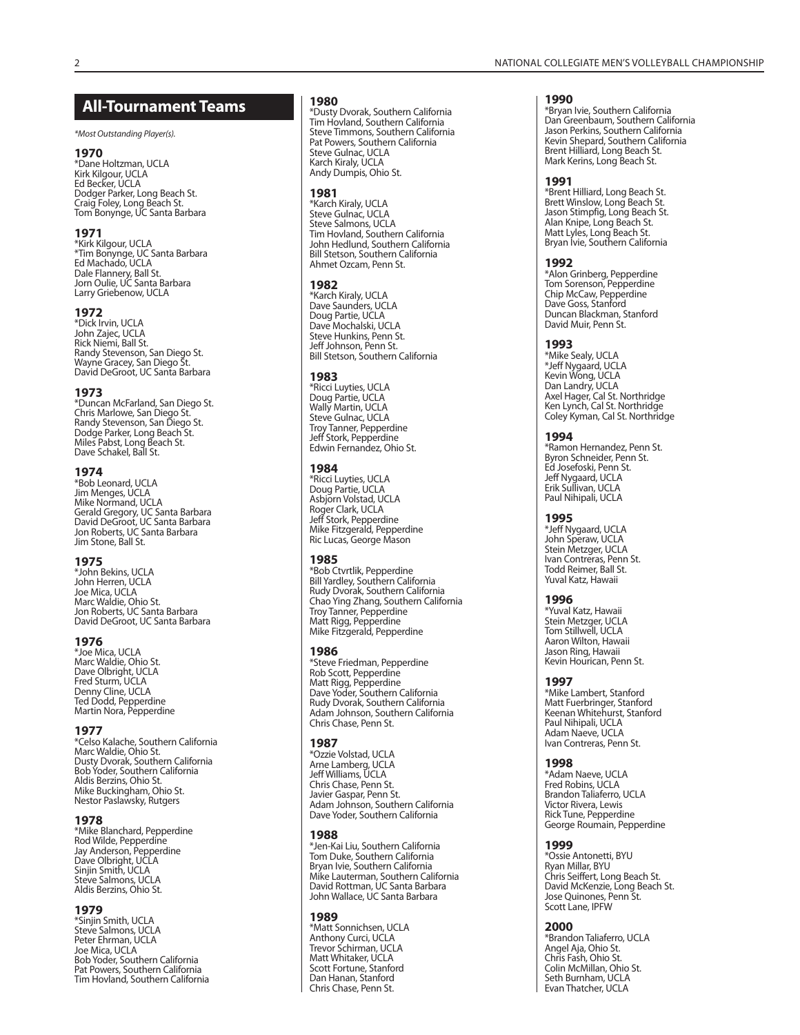### **All-Tournament Teams**

\*Most Outstanding Player(s).

#### **1970**

\*Dane Holtzman, UCLA Kirk Kilgour, UCLA Ed Becker, UCLA Dodger Parker, Long Beach St. Craig Foley, Long Beach St. Tom Bonynge, UC Santa Barbara

#### **1971**

\*Kirk Kilgour, UCLA \*Tim Bonynge, UC Santa Barbara Ed Machado, UCLA Dale Flannery, Ball St. Jorn Oulie, UC Santa Barbara Larry Griebenow, UCLA

#### **1972**

\*Dick Irvin, UCLA John Zajec, UCLA Rick Niemi, Ball St. Randy Stevenson, San Diego St. Wayne Gracey, San Diego St. David DeGroot, UC Santa Barbara

#### **1973**

\*Duncan McFarland, San Diego St. Chris Marlowe, San Diego St. Randy Stevenson, San Diego St. Dodge Parker, Long Beach St. Miles Pabst, Long Beach St. Dave Schakel, Ball St.

#### **1974**

\*Bob Leonard, UCLA Jim Menges, UCLA Mike Normand, UCLA Gerald Gregory, UC Santa Barbara David DeGroot, UC Santa Barbara Jon Roberts, UC Santa Barbara Jim Stone, Ball St.

#### **1975**

\*John Bekins, UCLA John Herren, UCLA Joe Mica, UCLA Marc Waldie, Ohio St. Jon Roberts, UC Santa Barbara David DeGroot, UC Santa Barbara

#### **1976**

\*Joe Mica, UCLA Marc Waldie, Ohio St. Dave Olbright, UCLA Fred Sturm, UCLA Denny Cline, UCLA Ted Dodd, Pepperdine Martin Nora, Pepperdine

#### **1977**

\*Celso Kalache, Southern California Marc Waldie, Ohio St. Dusty Dvorak, Southern California Bob Yoder, Southern California Aldis Berzins, Ohio St. Mike Buckingham, Ohio St. Nestor Paslawsky, Rutgers

#### **1978**

\*Mike Blanchard, Pepperdine Rod Wilde, Pepperdine Jay Anderson, Pepperdine Dave Olbright, UCLA<br>Sinjin Smith, UCLA<br>Steve Salmons, UCLA Aldis Berzins, Ohio St.

#### **1979**

\*Sinjin Smith, UCLA Steve Salmons, UCLA Peter Ehrman, UCLA Joe Mica, UCLA Bob Yoder, Southern California Pat Powers, Southern California Tim Hovland, Southern California

#### **1980**

\*Dusty Dvorak, Southern California Tim Hovland, Southern California Steve Timmons, Southern California Pat Powers, Southern California Steve Gulnac, UCLA Karch Kiraly, UCLA Andy Dumpis, Ohio St.

#### **1981**

\*Karch Kiraly, UCLA Steve Gulnac, UCLA Steve Salmons, UCLA Tim Hovland, Southern California John Hedlund, Southern California Bill Stetson, Southern California Ahmet Ozcam, Penn St.

#### **1982**

\*Karch Kiraly, UCLA Dave Saunders, UCLA Doug Partie, UCLA Dave Mochalski, UCLA Steve Hunkins, Penn St. Jeff Johnson, Penn St. Bill Stetson, Southern California

#### **1983**

\*Ricci Luyties, UCLA Doug Partie, UCLA Wally Martin, UCLA Steve Gulnac, UCLA Troy Tanner, Pepperdine Jeff Stork, Pepperdine Edwin Fernandez, Ohio St.

#### **1984**

\*Ricci Luyties, UCLA Doug Partie, UCLA Asbjorn Volstad, UCLA Roger Clark, UCLA Jeff Stork, Pepperdine Mike Fitzgerald, Pepperdine Ric Lucas, George Mason

#### **1985**

\*Bob Ctvrtlik, Pepperdine Bill Yardley, Southern California Rudy Dvorak, Southern California Chao Ying Zhang, Southern California Troy Tanner, Pepperdine Matt Rigg, Pepperdine Mike Fitzgerald, Pepperdine

#### **1986**

\*Steve Friedman, Pepperdine Rob Scott, Pepperdine Matt Rigg, Pepperdine Dave Yoder, Southern California Rudy Dvorak, Southern California Adam Johnson, Southern California Chris Chase, Penn St.

#### **1987**

\*Ozzie Volstad, UCLA Arne Lamberg, UCLA Jeff Williams, UCLA Chris Chase, Penn St. Javier Gaspar, Penn St. Adam Johnson, Southern California Dave Yoder, Southern California

#### **1988**

\*Jen-Kai Liu, Southern California Tom Duke, Southern California Bryan Ivie, Southern California Mike Lauterman, Southern California David Rottman, UC Santa Barbara John Wallace, UC Santa Barbara

#### **1989**

\*Matt Sonnichsen, UCLA Anthony Curci, UCLA Trevor Schirman, UCLA Matt Whitaker, UCLA Scott Fortune, Stanford Dan Hanan, Stanford Chris Chase, Penn St.

#### **1990**

\*Bryan Ivie, Southern California Dan Greenbaum, Southern California Jason Perkins, Southern California Kevin Shepard, Southern California Brent Hilliard, Long Beach St. Mark Kerins, Long Beach St.

#### **1991**

\*Brent Hilliard, Long Beach St. Brett Winslow, Long Beach St. Jason Stimpfig, Long Beach St. Alan Knipe, Long Beach St. Matt Lyles, Long Beach St. Bryan Ivie, Southern California

#### **1992**

\*Alon Grinberg, Pepperdine Tom Sorenson, Pepperdine Chip McCaw, Pepperdine Dave Goss, Stanford Duncan Blackman, Stanford David Muir, Penn St.

#### **1993**

\*Mike Sealy, UCLA \*Jeff Nygaard, UCLA Kevin Wong, UCLA Dan Landry, UCLA Axel Hager, Cal St. Northridge Ken Lynch, Cal St. Northridge Coley Kyman, Cal St. Northridge

#### **1994**

\*Ramon Hernandez, Penn St. Byron Schneider, Penn St. Ed Josefoski, Penn St. Jeff Nygaard, UCLA Erik Sullivan, UCLA Paul Nihipali, UCLA

#### **1995**

\*Jeff Nygaard, UCLA John Speraw, UCLA Stein Metzger, UCLA Ivan Contreras, Penn St. Todd Reimer, Ball St. Yuval Katz, Hawaii

#### **1996**

\*Yuval Katz, Hawaii Stein Metzger, UCLA Tom Stillwell, UCLA Aaron Wilton, Hawaii Jason Ring, Hawaii Kevin Hourican, Penn St.

#### **1997**

\*Mike Lambert, Stanford Matt Fuerbringer, Stanford Keenan Whitehurst, Stanford Paul Nihipali, UCLA Adam Naeve, UCLA Ivan Contreras, Penn St.

#### **1998**

\*Adam Naeve, UCLA Fred Robins, UCLA Brandon Taliaferro, UCLA Victor Rivera, Lewis Rick Tune, Pepperdine George Roumain, Pepperdine

#### **1999**

\*Ossie Antonetti, BYU Ryan Millar, BYU Chris Seiffert, Long Beach St. David McKenzie, Long Beach St. Jose Quinones, Penn St. Scott Lane, IPFW

#### **2000**

\*Brandon Taliaferro, UCLA Angel Aja, Ohio St. Chris Fash, Ohio St. Colin McMillan, Ohio St. Seth Burnham, UCLA Evan Thatcher, UCLA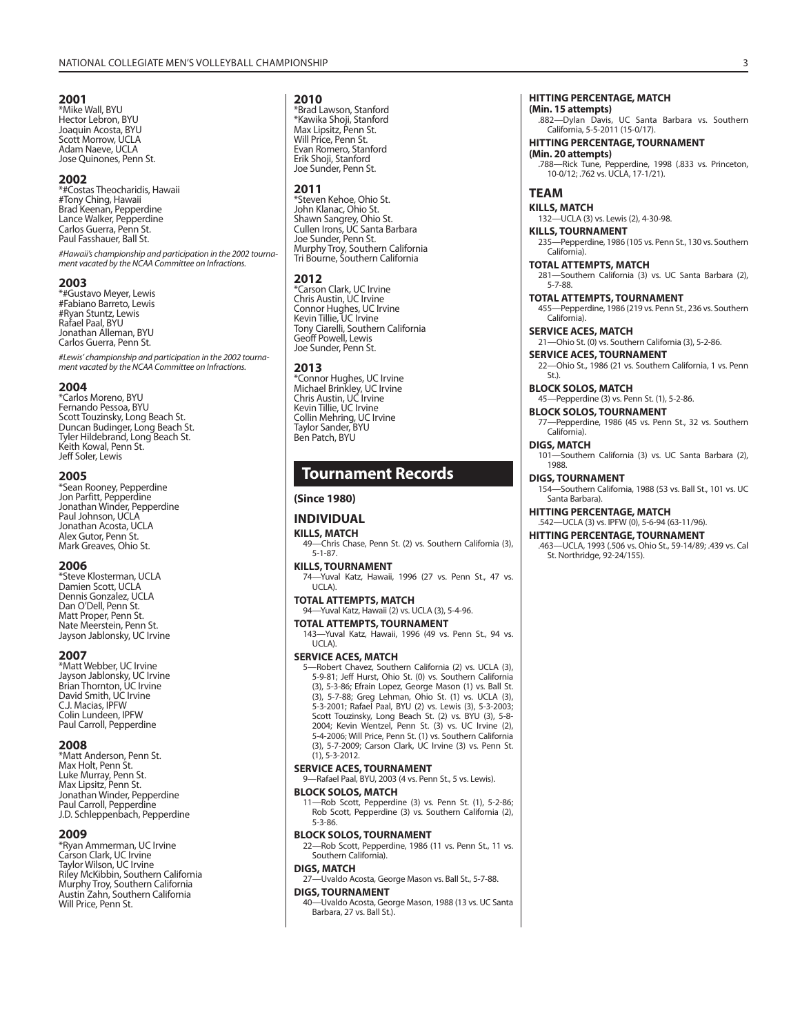#### **2001**

\*Mike Wall, BYU Hector Lebron, BYU Joaquin Acosta, BYU Scott Morrow, UCLA Adam Naeve, UCLA Jose Quinones, Penn St.

#### **2002**

\*#Costas Theocharidis, Hawaii #Tony Ching, Hawaii Brad Keenan, Pepperdine Lance Walker, Pepperdine Carlos Guerra, Penn St. Paul Fasshauer, Ball St.

#Hawaii's championship and participation in the 2002 tournament vacated by the NCAA Committee on Infractions.

#### **2003**

\*#Gustavo Meyer, Lewis #Fabiano Barreto, Lewis #Ryan Stuntz, Lewis Rafael Paal, BYU Jonathan Alleman, BYU Carlos Guerra, Penn St.

#Lewis' championship and participation in the 2002 tournament vacated by the NCAA Committee on Infractions.

#### **2004**

\*Carlos Moreno, BYU Fernando Pessoa, BYU Scott Touzinsky, Long Beach St. Duncan Budinger, Long Beach St. Tyler Hildebrand, Long Beach St. Keith Kowal, Penn St. Jeff Soler, Lewis

#### **2005**

\*Sean Rooney, Pepperdine Jon Parfitt, Pepperdine Jonathan Winder, Pepperdine Paul Johnson, UCLA Jonathan Acosta, UCLA Alex Gutor, Penn St. Mark Greaves, Ohio St.

#### **2006**

\*Steve Klosterman, UCLA Damien Scott, UCLA Dennis Gonzalez, UCLA Dan O'Dell, Penn St. Matt Proper, Penn St. Nate Meerstein, Penn St. Jayson Jablonsky, UC Irvine

#### **2007**

\*Matt Webber, UC Irvine Jayson Jablonsky, UC Irvine Brian Thornton, UC Irvine David Smith, UC Irvine C.J. Macias, IPFW Colin Lundeen, IPFW Paul Carroll, Pepperdine

#### **2008**

\*Matt Anderson, Penn St. Max Holt, Penn St. Luke Murray, Penn St. Max Lipsitz, Penn St. Jonathan Winder, Pepperdine Paul Carroll, Pepperdine J.D. Schleppenbach, Pepperdine

#### **2009**

\*Ryan Ammerman, UC Irvine Carson Clark, UC Irvine Taylor Wilson, UC Irvine Riley McKibbin, Southern California Murphy Troy, Southern California Austin Zahn, Southern California Will Price, Penn St.

#### **2010**

\*Brad Lawson, Stanford \*Kawika Shoji, Stanford Max Lipsitz, Penn St. Will Price, Penn St. Evan Romero, Stanford Erik Shoji, Stanford Joe Sunder, Penn St.

#### **2011**

\*Steven Kehoe, Ohio St. John Klanac, Ohio St. Shawn Sangrey, Ohio St. Cullen Irons, UC Santa Barbara Joe Sunder, Penn St. Murphy Troy, Southern California Tri Bourne, Southern California

#### **2012**

\*Carson Clark, UC Irvine Chris Austin, UC Irvine Connor Hughes, UC Irvine Kevin Tillie, UC Irvine Tony Ciarelli, Southern California Geoff Powell, Lewis Joe Sunder, Penn St.

#### **2013**

\*Connor Hughes, UC Irvine Michael Brinkley, UC Irvine Chris Austin, UC Irvine Kevin Tillie, UC Irvine Collin Mehring, UC Irvine Taylor Sander, BYU Ben Patch, BYU

## **Tournament Records**

#### **(Since 1980)**

### **INDIVIDUAL**

**KILLS, MATCH** 49—Chris Chase, Penn St. (2) vs. Southern California (3),

5-1-87. **KILLS, TOURNAMENT**

74—Yuval Katz, Hawaii, 1996 (27 vs. Penn St., 47 vs. UCLA).

**TOTAL ATTEMPTS, MATCH**

94—Yuval Katz, Hawaii (2) vs. UCLA (3), 5-4-96. **TOTAL ATTEMPTS, TOURNAMENT**

143—Yuval Katz, Hawaii, 1996 (49 vs. Penn St., 94 vs. UCLA).

#### **SERVICE ACES, MATCH**

5—Robert Chavez, Southern California (2) vs. UCLA (3), 5-9-81; Jeff Hurst, Ohio St. (0) vs. Southern California (3), 5-3-86; Efrain Lopez, George Mason (1) vs. Ball St. (3), 5-7-88; Greg Lehman, Ohio St. (1) vs. UCLA (3), 5-3-2001; Rafael Paal, BYU (2) vs. Lewis (3), 5-3-2003; Scott Touzinsky, Long Beach St. (2) vs. BYU (3), 5-8- 2004; Kevin Wentzel, Penn St. (3) vs. UC Irvine (2), 5-4-2006; Will Price, Penn St. (1) vs. Southern California (3), 5-7-2009; Carson Clark, UC Irvine (3) vs. Penn St. (1), 5-3-2012.

#### **SERVICE ACES, TOURNAMENT**

9—Rafael Paal, BYU, 2003 (4 vs. Penn St., 5 vs. Lewis).

#### **BLOCK SOLOS, MATCH**

11—Rob Scott, Pepperdine (3) vs. Penn St. (1), 5-2-86; Rob Scott, Pepperdine (3) vs. Southern California (2), 5-3-86.

#### **BLOCK SOLOS, TOURNAMENT**

22—Rob Scott, Pepperdine, 1986 (11 vs. Penn St., 11 vs. Southern California).

#### **DIGS, MATCH**

27—Uvaldo Acosta, George Mason vs. Ball St., 5-7-88.

#### **DIGS, TOURNAMENT**

40—Uvaldo Acosta, George Mason, 1988 (13 vs. UC Santa Barbara, 27 vs. Ball St.).

#### **HITTING PERCENTAGE, MATCH (Min. 15 attempts)**

.882—Dylan Davis, UC Santa Barbara vs. Southern California, 5-5-2011 (15-0/17).

#### **HITTING PERCENTAGE, TOURNAMENT**

**(Min. 20 attempts)** .788—Rick Tune, Pepperdine, 1998 (.833 vs. Princeton, 10-0/12; .762 vs. UCLA, 17-1/21).

#### **TEAM**

**KILLS, MATCH**

132—UCLA (3) vs. Lewis (2), 4-30-98.

#### **KILLS, TOURNAMENT** 235—Pepperdine, 1986 (105 vs. Penn St., 130 vs. Southern

California).

#### **TOTAL ATTEMPTS, MATCH** 281—Southern California (3) vs. UC Santa Barbara (2),

5-7-88. **TOTAL ATTEMPTS, TOURNAMENT**

455—Pepperdine, 1986 (219 vs. Penn St., 236 vs. Southern California).

**SERVICE ACES, MATCH** 21—Ohio St. (0) vs. Southern California (3), 5-2-86.

#### **SERVICE ACES, TOURNAMENT**

22—Ohio St., 1986 (21 vs. Southern California, 1 vs. Penn St.).

**BLOCK SOLOS, MATCH** 45—Pepperdine (3) vs. Penn St. (1), 5-2-86.

**BLOCK SOLOS, TOURNAMENT**

77—Pepperdine, 1986 (45 vs. Penn St., 32 vs. Southern California).

#### **DIGS, MATCH**

101—Southern California (3) vs. UC Santa Barbara (2), 1988.

#### **DIGS, TOURNAMENT**

154—Southern California, 1988 (53 vs. Ball St., 101 vs. UC Santa Barbara).

#### **HITTING PERCENTAGE, MATCH** .542—UCLA (3) vs. IPFW (0), 5-6-94 (63-11/96).

#### **HITTING PERCENTAGE, TOURNAMENT**

.463—UCLA, 1993 (.506 vs. Ohio St., 59-14/89; .439 vs. Cal St. Northridge, 92-24/155).

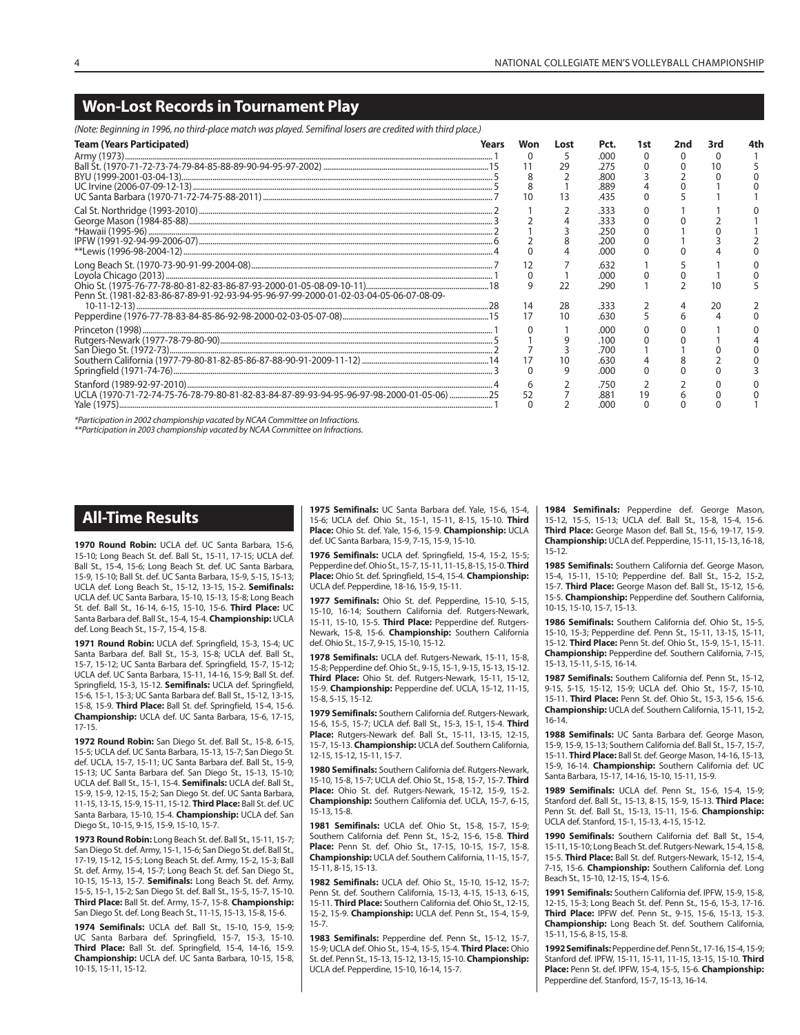## **Won-Lost Records in Tournament Play**

(Note: Beginning in 1996, no third-place match was played. Semifinal losers are credited with third place.)

| proce. Degmining in 1996, no crima prace materi mas prayea: Semininai 109ers are created micri crima prace,                                                                                                                                                                                                                                                                                                                                         |       |          |      |      |     |     |     |  |
|-----------------------------------------------------------------------------------------------------------------------------------------------------------------------------------------------------------------------------------------------------------------------------------------------------------------------------------------------------------------------------------------------------------------------------------------------------|-------|----------|------|------|-----|-----|-----|--|
| <b>Team (Years Participated)</b>                                                                                                                                                                                                                                                                                                                                                                                                                    | Years | Won      | Lost | Pct. | 1st | 2nd | 3rd |  |
|                                                                                                                                                                                                                                                                                                                                                                                                                                                     |       | 0        |      | .000 |     |     |     |  |
|                                                                                                                                                                                                                                                                                                                                                                                                                                                     |       |          | 29   | .275 |     |     |     |  |
|                                                                                                                                                                                                                                                                                                                                                                                                                                                     |       |          |      | .800 |     |     |     |  |
|                                                                                                                                                                                                                                                                                                                                                                                                                                                     |       |          |      | .889 |     |     |     |  |
|                                                                                                                                                                                                                                                                                                                                                                                                                                                     |       |          | 13   | .435 |     |     |     |  |
|                                                                                                                                                                                                                                                                                                                                                                                                                                                     |       |          |      | 333  |     |     |     |  |
|                                                                                                                                                                                                                                                                                                                                                                                                                                                     |       |          |      | .333 |     |     |     |  |
|                                                                                                                                                                                                                                                                                                                                                                                                                                                     |       |          |      | .250 |     |     |     |  |
|                                                                                                                                                                                                                                                                                                                                                                                                                                                     |       |          |      | 200  |     |     |     |  |
| $\begin{array}{l} \text{Gal St. Northridge (1993-2010)} \\\ \text{George Mason (1984-85-88)} \\\ \text{\text{\texttt{\texttt{\texttt{\tiny{41}}}}}}\ 3 \\\ \text{\texttt{\texttt{\tiny{41}}}}\ 4 \\\ \text{Newai} (1995-96) \\\ \text{\texttt{\tiny{41}}}\ 1997-92006-07) \\\ \text{\texttt{\tiny{41}}}\ 6 \\\ \text{\texttt{\tiny{41}}}\ 7 \\\ \text{\texttt{\tiny{42}}}\ 7 \\\ \text{\texttt{\tiny{42}}}\ 8 \\\ \text{\texttt{\tiny{43}}}\ 9 \\\$ |       |          |      | .000 |     |     |     |  |
|                                                                                                                                                                                                                                                                                                                                                                                                                                                     |       |          |      | .632 |     |     |     |  |
|                                                                                                                                                                                                                                                                                                                                                                                                                                                     |       |          |      | .000 |     |     |     |  |
| Penn St. (1981-82-83-86-87-89-91-92-93-94-95-96-97-99-2000-01-02-03-04-05-06-07-08-09-                                                                                                                                                                                                                                                                                                                                                              |       |          | 22   | .290 |     |     |     |  |
|                                                                                                                                                                                                                                                                                                                                                                                                                                                     |       | 14       | 28   | .333 |     |     | 20  |  |
|                                                                                                                                                                                                                                                                                                                                                                                                                                                     |       | 17       | 10   | .630 |     |     |     |  |
|                                                                                                                                                                                                                                                                                                                                                                                                                                                     |       |          |      | .000 |     |     |     |  |
|                                                                                                                                                                                                                                                                                                                                                                                                                                                     |       |          |      | .100 |     |     |     |  |
|                                                                                                                                                                                                                                                                                                                                                                                                                                                     |       |          |      | .700 |     |     |     |  |
|                                                                                                                                                                                                                                                                                                                                                                                                                                                     |       |          |      | .630 |     |     |     |  |
|                                                                                                                                                                                                                                                                                                                                                                                                                                                     |       | $\Omega$ | 9    | .000 |     |     |     |  |
|                                                                                                                                                                                                                                                                                                                                                                                                                                                     |       | 6        |      | .750 |     |     |     |  |
| UCLA (1970-71-72-74-75-76-78-79-80-81-82-83-84-87-89-93-94-95-96-97-98-2000-01-05-06) 25                                                                                                                                                                                                                                                                                                                                                            |       | 52       |      | .881 | 19  |     |     |  |
|                                                                                                                                                                                                                                                                                                                                                                                                                                                     |       |          |      | .റററ |     |     |     |  |
|                                                                                                                                                                                                                                                                                                                                                                                                                                                     |       |          |      |      |     |     |     |  |

\*Participation in 2002 championship vacated by NCAA Committee on Infractions.

\*\*Participation in 2003 championship vacated by NCAA Committee on Infractions.

## **All-Time Results**

**1970 Round Robin:** UCLA def. UC Santa Barbara, 15-6, 15-10; Long Beach St. def. Ball St., 15-11, 17-15; UCLA def. Ball St., 15-4, 15-6; Long Beach St. def. UC Santa Barbara, 15-9, 15-10; Ball St. def. UC Santa Barbara, 15-9, 5-15, 15-13; UCLA def. Long Beach St., 15-12, 13-15, 15-2. **Semifinals:** UCLA def. UC Santa Barbara, 15-10, 15-13, 15-8; Long Beach St. def. Ball St., 16-14, 6-15, 15-10, 15-6. **Third Place:** UC Santa Barbara def. Ball St., 15-4, 15-4. **Championship:** UCLA def. Long Beach St., 15-7, 15-4, 15-8.

**1971 Round Robin:** UCLA def. Springfield, 15-3, 15-4; UC Santa Barbara def. Ball St., 15-3, 15-8; UCLA def. Ball St., 15-7, 15-12; UC Santa Barbara def. Springfield, 15-7, 15-12; UCLA def. UC Santa Barbara, 15-11, 14-16, 15-9; Ball St. def. Springfield, 15-3, 15-12. **Semifinals:** UCLA def. Springfield, 15-6, 15-1, 15-3; UC Santa Barbara def. Ball St., 15-12, 13-15, 15-8, 15-9. **Third Place:** Ball St. def. Springfield, 15-4, 15-6. **Championship:** UCLA def. UC Santa Barbara, 15-6, 17-15, 17-15.

**1972 Round Robin:** San Diego St. def. Ball St., 15-8, 6-15, 15-5; UCLA def. UC Santa Barbara, 15-13, 15-7; San Diego St. def. UCLA, 15-7, 15-11; UC Santa Barbara def. Ball St., 15-9, 15-13; UC Santa Barbara def. San Diego St., 15-13, 15-10; UCLA def. Ball St., 15-1, 15-4. **Semifinals:** UCLA def. Ball St., 15-9, 15-9, 12-15, 15-2; San Diego St. def. UC Santa Barbara, 11-15, 13-15, 15-9, 15-11, 15-12. **Third Place:** Ball St. def. UC Santa Barbara, 15-10, 15-4. **Championship:** UCLA def. San Diego St., 10-15, 9-15, 15-9, 15-10, 15-7.

**1973 Round Robin:** Long Beach St. def. Ball St., 15-11, 15-7; San Diego St. def. Army, 15-1, 15-6; San Diego St. def. Ball St., 17-19, 15-12, 15-5; Long Beach St. def. Army, 15-2, 15-3; Ball St. def. Army, 15-4, 15-7; Long Beach St. def. San Diego St., 10-15, 15-13, 15-7. **Semifinals:** Long Beach St. def. Army, 15-5, 15-1, 15-2; San Diego St. def. Ball St., 15-5, 15-7, 15-10. **Third Place:** Ball St. def. Army, 15-7, 15-8. **Championship:**  San Diego St. def. Long Beach St., 11-15, 15-13, 15-8, 15-6.

**1974 Semifinals:** UCLA def. Ball St., 15-10, 15-9, 15-9; UC Santa Barbara def. Springfield, 15-7, 15-3, 15-10. **Third Place:** Ball St. def. Springfield, 15-4, 14-16, 15-9. **Championship:** UCLA def. UC Santa Barbara, 10-15, 15-8, 10-15, 15-11, 15-12.

**1975 Semifinals:** UC Santa Barbara def. Yale, 15-6, 15-4, 15-6; UCLA def. Ohio St., 15-1, 15-11, 8-15, 15-10. **Third Place:** Ohio St. def. Yale, 15-6, 15-9. **Championship:** UCLA def. UC Santa Barbara, 15-9, 7-15, 15-9, 15-10.

**1976 Semifinals:** UCLA def. Springfield, 15-4, 15-2, 15-5; Pepperdine def. Ohio St., 15-7, 15-11, 11-15, 8-15, 15-0. **Third Place:** Ohio St. def. Springfield, 15-4, 15-4. **Championship:**  UCLA def. Pepperdine, 18-16, 15-9, 15-11.

**1977 Semifinals:** Ohio St. def. Pepperdine, 15-10, 5-15, 15-10, 16-14; Southern California def. Rutgers-Newark, 15-11, 15-10, 15-5. **Third Place:** Pepperdine def. Rutgers-Newark, 15-8, 15-6. **Championship:** Southern California def. Ohio St., 15-7, 9-15, 15-10, 15-12.

**1978 Semifinals:** UCLA def. Rutgers-Newark, 15-11, 15-8, 15-8; Pepperdine def. Ohio St., 9-15, 15-1, 9-15, 15-13, 15-12. **Third Place:** Ohio St. def. Rutgers-Newark, 15-11, 15-12, 15-9. **Championship:** Pepperdine def. UCLA, 15-12, 11-15, 15-8, 5-15, 15-12.

**1979 Semifinals:** Southern California def. Rutgers-Newark, 15-6, 15-5, 15-7; UCLA def. Ball St., 15-3, 15-1, 15-4. **Third Place:** Rutgers-Newark def. Ball St., 15-11, 13-15, 12-15, 15-7, 15-13. **Championship:** UCLA def. Southern California, 12-15, 15-12, 15-11, 15-7.

**1980 Semifinals:** Southern California def. Rutgers-Newark, 15-10, 15-8, 15-7; UCLA def. Ohio St., 15-8, 15-7, 15-7. **Third Place:** Ohio St. def. Rutgers-Newark, 15-12, 15-9, 15-2. **Championship:** Southern California def. UCLA, 15-7, 6-15, 15-13, 15-8.

**1981 Semifinals:** UCLA def. Ohio St., 15-8, 15-7, 15-9; Southern California def. Penn St., 15-2, 15-6, 15-8. **Third Place:** Penn St. def. Ohio St., 17-15, 10-15, 15-7, 15-8. **Championship:** UCLA def. Southern California, 11-15, 15-7, 15-11, 8-15, 15-13.

**1982 Semifinals:** UCLA def. Ohio St., 15-10, 15-12, 15-7; Penn St. def. Southern California, 15-13, 4-15, 15-13, 6-15, 15-11. **Third Place:** Southern California def. Ohio St., 12-15, 15-2, 15-9. **Championship:** UCLA def. Penn St., 15-4, 15-9, 15-7.

**1983 Semifinals:** Pepperdine def. Penn St., 15-12, 15-7, 15-9; UCLA def. Ohio St., 15-4, 15-5, 15-4. **Third Place:** Ohio St. def. Penn St., 15-13, 15-12, 13-15, 15-10. **Championship:**  UCLA def. Pepperdine, 15-10, 16-14, 15-7.

**1984 Semifinals:** Pepperdine def. George Mason, 15-12, 15-5, 15-13; UCLA def. Ball St., 15-8, 15-4, 15-6. **Third Place:** George Mason def. Ball St., 15-6, 19-17, 15-9. **Championship:** UCLA def. Pepperdine, 15-11, 15-13, 16-18, 15-12.

**1985 Semifinals:** Southern California def. George Mason, 15-4, 15-11, 15-10; Pepperdine def. Ball St., 15-2, 15-2, 15-7. **Third Place:** George Mason def. Ball St., 15-12, 15-6, 15-5. **Championship:** Pepperdine def. Southern California, 10-15, 15-10, 15-7, 15-13.

**1986 Semifinals:** Southern California def. Ohio St., 15-5, 15-10, 15-3; Pepperdine def. Penn St., 15-11, 13-15, 15-11, 15-12. **Third Place:** Penn St. def. Ohio St., 15-9, 15-1, 15-11. **Championship:** Pepperdine def. Southern California, 7-15, 15-13, 15-11, 5-15, 16-14.

**1987 Semifinals:** Southern California def. Penn St., 15-12, 9-15, 5-15, 15-12, 15-9; UCLA def. Ohio St., 15-7, 15-10, 15-11. **Third Place:** Penn St. def. Ohio St., 15-3, 15-6, 15-6. **Championship:** UCLA def. Southern California, 15-11, 15-2, 16-14.

**1988 Semifinals:** UC Santa Barbara def. George Mason, 15-9, 15-9, 15-13; Southern California def. Ball St., 15-7, 15-7, 15-11. **Third Place:** Ball St. def. George Mason, 14-16, 15-13, 15-9, 16-14. **Championship:** Southern California def. UC Santa Barbara, 15-17, 14-16, 15-10, 15-11, 15-9.

**1989 Semifinals:** UCLA def. Penn St., 15-6, 15-4, 15-9; Stanford def. Ball St., 15-13, 8-15, 15-9, 15-13. **Third Place:**  Penn St. def. Ball St., 15-13, 15-11, 15-6. **Championship:**  UCLA def. Stanford, 15-1, 15-13, 4-15, 15-12.

**1990 Semifinals:** Southern California def. Ball St., 15-4, 15-11, 15-10; Long Beach St. def. Rutgers-Newark, 15-4, 15-8, 15-5. **Third Place:** Ball St. def. Rutgers-Newark, 15-12, 15-4, 7-15, 15-6. **Championship:** Southern California def. Long Beach St., 15-10, 12-15, 15-4, 15-6.

**1991 Semifinals:** Southern California def. IPFW, 15-9, 15-8, 12-15, 15-3; Long Beach St. def. Penn St., 15-6, 15-3, 17-16. **Third Place:** IPFW def. Penn St., 9-15, 15-6, 15-13, 15-3. **Championship:** Long Beach St. def. Southern California, 15-11, 15-6, 8-15, 15-8.

**1992 Semifinals:** Pepperdine def. Penn St., 17-16, 15-4, 15-9; Stanford def. IPFW, 15-11, 15-11, 11-15, 13-15, 15-10. **Third Place:** Penn St. def. IPFW, 15-4, 15-5, 15-6. **Championship:** Pepperdine def. Stanford, 15-7, 15-13, 16-14.